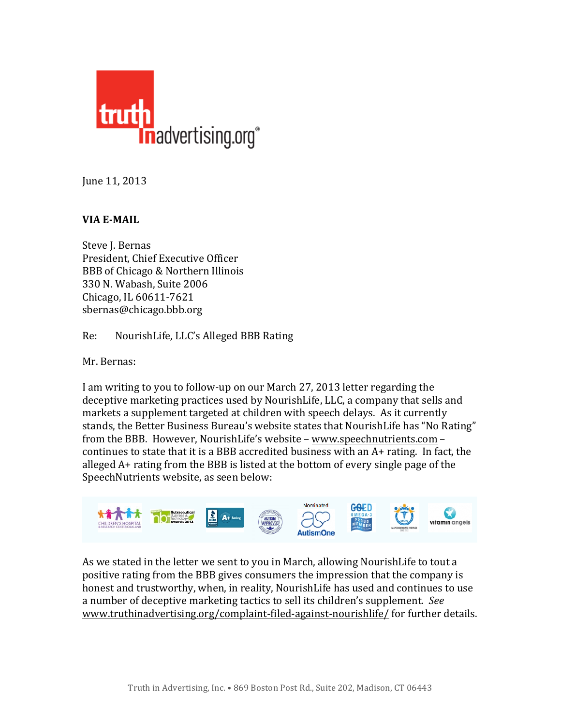

June 11, 2013

## **VIA E-MAIL**

Steve J. Bernas President, Chief Executive Officer BBB of Chicago & Northern Illinois 330 N. Wabash, Suite 2006 Chicago, IL 60611-7621 sbernas@chicago.bbb.org

Re: NourishLife, LLC's Alleged BBB Rating

Mr. Bernas:

I am writing to you to follow-up on our March 27, 2013 letter regarding the deceptive marketing practices used by NourishLife, LLC, a company that sells and markets a supplement targeted at children with speech delays. As it currently stands, the Better Business Bureau's website states that NourishLife has "No Rating" from the BBB. However, NourishLife's website - www.speechnutrients.com continues to state that it is a BBB accredited business with an  $A+$  rating. In fact, the alleged  $A+$  rating from the BBB is listed at the bottom of every single page of the Speech Nutrients website, as seen below:



As we stated in the letter we sent to you in March, allowing NourishLife to tout a positive rating from the BBB gives consumers the impression that the company is honest and trustworthy, when, in reality, NourishLife has used and continues to use a number of deceptive marketing tactics to sell its children's supplement. See www.truthinadvertising.org/complaint-filed-against-nourishlife/ for further details.